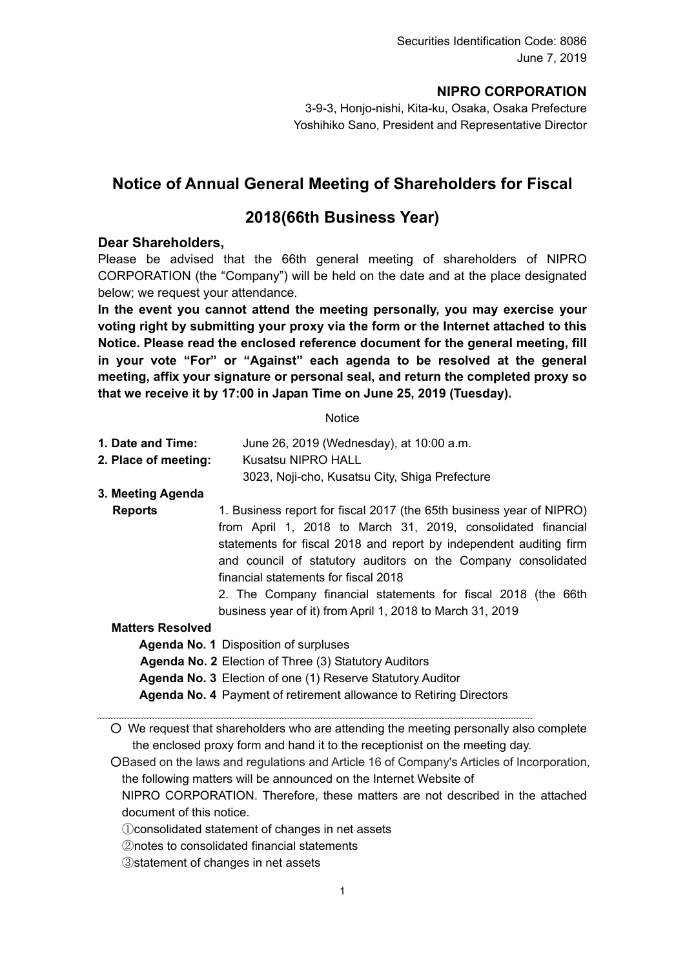## **NIPRO CORPORATION**

3-9-3, Honjo-nishi, Kita-ku, Osaka, Osaka Prefecture Yoshihiko Sano, President and Representative Director

# **Notice of Annual General Meeting of Shareholders for Fiscal**

## **2018(66th Business Year)**

#### **Dear Shareholders,**

Please be advised that the 66th general meeting of shareholders of NIPRO CORPORATION (the "Company") will be held on the date and at the place designated below; we request your attendance.

**In the event you cannot attend the meeting personally, you may exercise your voting right by submitting your proxy via the form or the Internet attached to this Notice. Please read the enclosed reference document for the general meeting, fill in your vote "For" or "Against" each agenda to be resolved at the general meeting, affix your signature or personal seal, and return the completed proxy so that we receive it by 17:00 in Japan Time on June 25, 2019 (Tuesday).** 

**Notice** 

- **1. Date and Time:** June 26, 2019 (Wednesday), at 10:00 a.m.
- **2. Place of meeting:** Kusatsu NIPRO HALL

3023, Noji-cho, Kusatsu City, Shiga Prefecture

#### **3. Meeting Agenda**

**Reports** 1. Business report for fiscal 2017 (the 65th business year of NIPRO) from April 1, 2018 to March 31, 2019, consolidated financial statements for fiscal 2018 and report by independent auditing firm and council of statutory auditors on the Company consolidated financial statements for fiscal 2018

2. The Company financial statements for fiscal 2018 (the 66th business year of it) from April 1, 2018 to March 31, 2019

#### **Matters Resolved**

**Agenda No. 1** Disposition of surpluses

**Agenda No. 2** Election of Three (3) Statutory Auditors

**Agenda No. 3** Election of one (1) Reserve Statutory Auditor

**Agenda No. 4** Payment of retirement allowance to Retiring Directors

○ We request that shareholders who are attending the meeting personally also complete the enclosed proxy form and hand it to the receptionist on the meeting day.

○Based on the laws and regulations and Article 16 of Company's Articles of Incorporation, the following matters will be announced on the Internet Website of

NIPRO CORPORATION. Therefore, these matters are not described in the attached document of this notice.

- ①consolidated statement of changes in net assets
- ②notes to consolidated financial statements

③statement of changes in net assets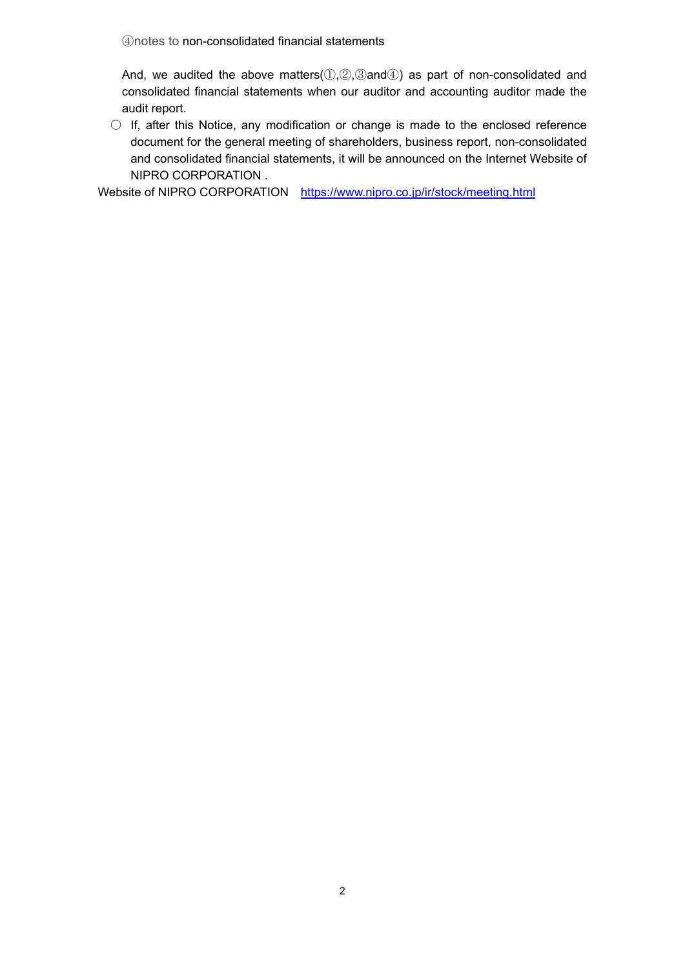④notes to non-consolidated financial statements

And, we audited the above matters( $(0, 0, 0)$ ,  $(3)$  and  $(4)$ ) as part of non-consolidated and consolidated financial statements when our auditor and accounting auditor made the audit report.

 $\circ$  If, after this Notice, any modification or change is made to the enclosed reference document for the general meeting of shareholders, business report, non-consolidated and consolidated financial statements, it will be announced on the Internet Website of NIPRO CORPORATION .

Website of NIPRO CORPORATION https://www.nipro.co.jp/ir/stock/meeting.html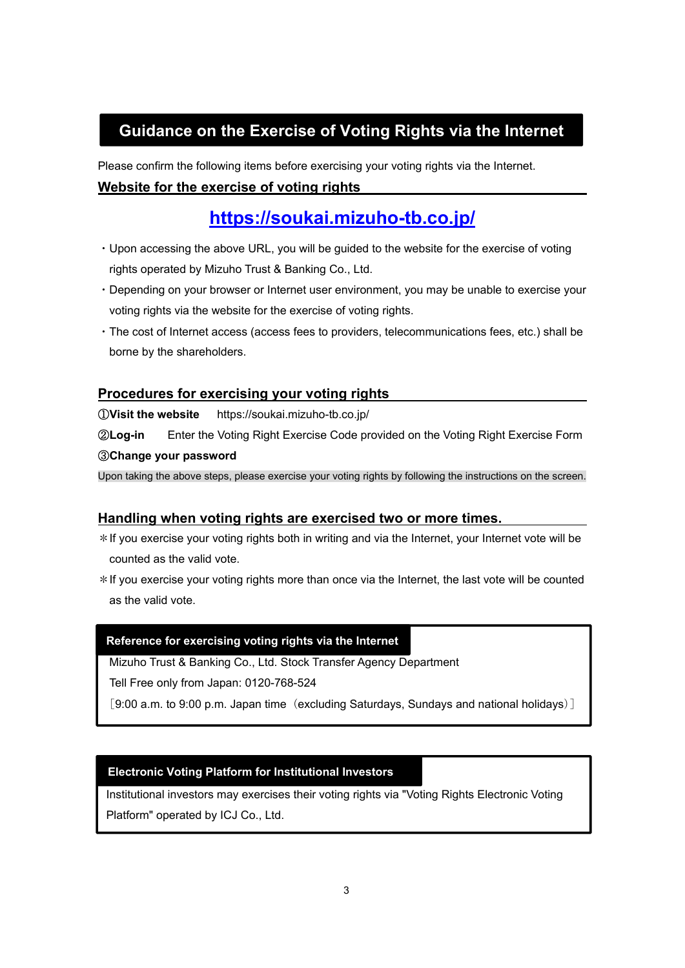# **Guidance on the Exercise of Voting Rights via the Internet**

Please confirm the following items before exercising your voting rights via the Internet.

## **Website for the exercise of voting rights**

# **https://soukai.mizuho-tb.co.jp/**

- ・Upon accessing the above URL, you will be guided to the website for the exercise of voting rights operated by Mizuho Trust & Banking Co., Ltd.
- ・Depending on your browser or Internet user environment, you may be unable to exercise your voting rights via the website for the exercise of voting rights.
- ・The cost of Internet access (access fees to providers, telecommunications fees, etc.) shall be borne by the shareholders.

## **Procedures for exercising your voting rights**

①**Visit the website** https://soukai.mizuho-tb.co.jp/

②**Log-in** Enter the Voting Right Exercise Code provided on the Voting Right Exercise Form ③**Change your password** 

Upon taking the above steps, please exercise your voting rights by following the instructions on the screen.

## **Handling when voting rights are exercised two or more times.**

\*If you exercise your voting rights both in writing and via the Internet, your Internet vote will be counted as the valid vote.

\*If you exercise your voting rights more than once via the Internet, the last vote will be counted as the valid vote.

## **Reference for exercising voting rights via the Internet**

Mizuho Trust & Banking Co., Ltd. Stock Transfer Agency Department

Tell Free only from Japan: 0120-768-524

[9:00 a.m. to 9:00 p.m. Japan time (excluding Saturdays, Sundays and national holidays)]

#### **Electronic Voting Platform for Institutional Investors**

Institutional investors may exercises their voting rights via "Voting Rights Electronic Voting Platform" operated by ICJ Co., Ltd.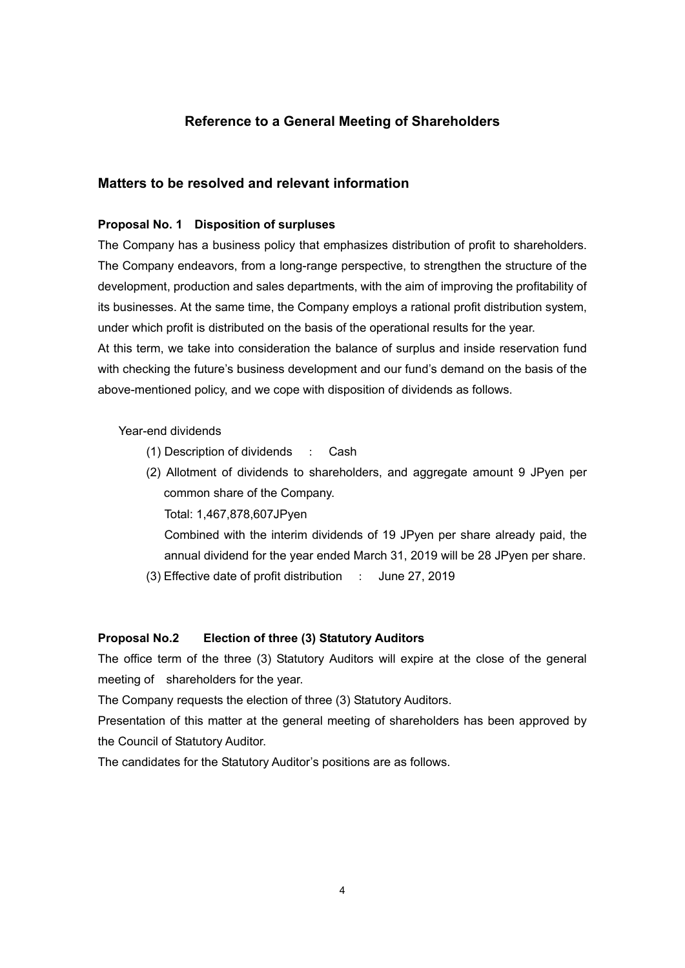## **Reference to a General Meeting of Shareholders**

#### **Matters to be resolved and relevant information**

#### **Proposal No. 1 Disposition of surpluses**

The Company has a business policy that emphasizes distribution of profit to shareholders. The Company endeavors, from a long-range perspective, to strengthen the structure of the development, production and sales departments, with the aim of improving the profitability of its businesses. At the same time, the Company employs a rational profit distribution system, under which profit is distributed on the basis of the operational results for the year.

At this term, we take into consideration the balance of surplus and inside reservation fund with checking the future's business development and our fund's demand on the basis of the above-mentioned policy, and we cope with disposition of dividends as follows.

#### Year-end dividends

- (1) Description of dividends : Cash
- (2) Allotment of dividends to shareholders, and aggregate amount 9 JPyen per common share of the Company.

Total: 1,467,878,607JPyen

Combined with the interim dividends of 19 JPyen per share already paid, the annual dividend for the year ended March 31, 2019 will be 28 JPyen per share.

(3) Effective date of profit distribution : June 27, 2019

#### **Proposal No.2 Election of three (3) Statutory Auditors**

The office term of the three (3) Statutory Auditors will expire at the close of the general meeting of shareholders for the year.

The Company requests the election of three (3) Statutory Auditors.

Presentation of this matter at the general meeting of shareholders has been approved by the Council of Statutory Auditor.

The candidates for the Statutory Auditor's positions are as follows.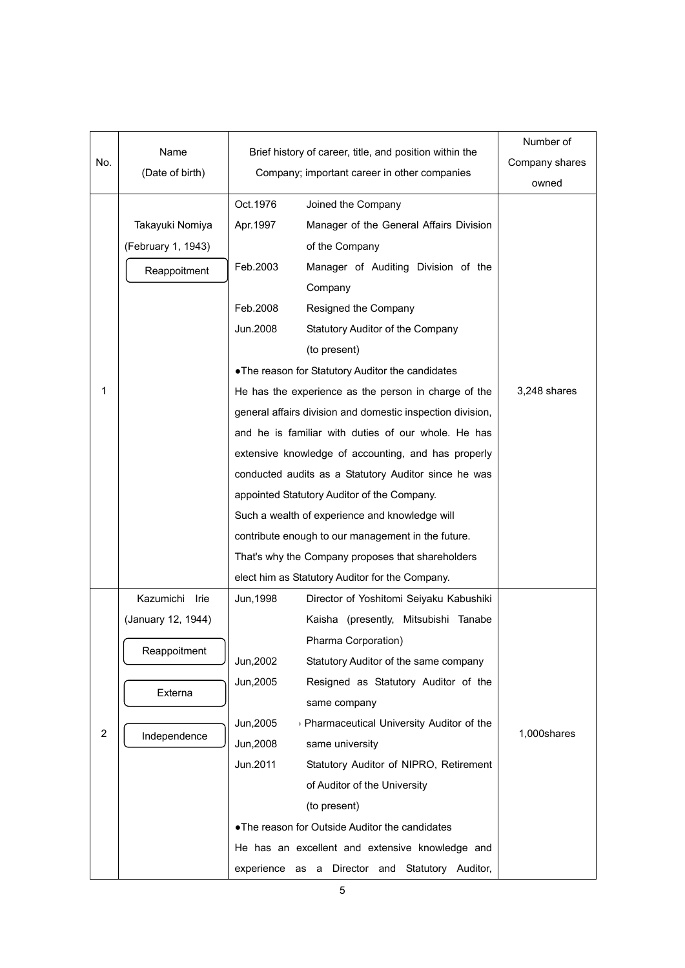|     | Name                      | Brief history of career, title, and position within the    | Number of      |
|-----|---------------------------|------------------------------------------------------------|----------------|
| No. | (Date of birth)           | Company; important career in other companies               | Company shares |
|     |                           |                                                            | owned          |
|     |                           | Oct. 1976<br>Joined the Company                            |                |
|     | Takayuki Nomiya           | Apr. 1997<br>Manager of the General Affairs Division       |                |
|     | (February 1, 1943)        | of the Company                                             |                |
|     | Reappoitment              | Feb.2003<br>Manager of Auditing Division of the            |                |
|     |                           | Company                                                    |                |
|     |                           | Feb.2008<br>Resigned the Company                           |                |
|     |                           | Jun.2008<br>Statutory Auditor of the Company               |                |
|     |                           | (to present)                                               |                |
|     |                           | . The reason for Statutory Auditor the candidates          |                |
| 1   |                           | He has the experience as the person in charge of the       | 3,248 shares   |
|     |                           | general affairs division and domestic inspection division, |                |
|     |                           | and he is familiar with duties of our whole. He has        |                |
|     |                           | extensive knowledge of accounting, and has properly        |                |
|     |                           | conducted audits as a Statutory Auditor since he was       |                |
|     |                           | appointed Statutory Auditor of the Company.                |                |
|     |                           | Such a wealth of experience and knowledge will             |                |
|     |                           | contribute enough to our management in the future.         |                |
|     |                           | That's why the Company proposes that shareholders          |                |
|     |                           | elect him as Statutory Auditor for the Company.            |                |
|     | Kazumichi Irie            | Director of Yoshitomi Seiyaku Kabushiki<br>Jun, 1998       |                |
|     | (January 12, 1944)        | Kaisha (presently, Mitsubishi Tanabe                       |                |
|     | Reappoitment<br>Jun, 2002 | Pharma Corporation)                                        |                |
|     |                           | Statutory Auditor of the same company                      |                |
|     |                           | Jun, 2005<br>Resigned as Statutory Auditor of the          |                |
|     | Externa                   | same company                                               |                |
|     |                           | Jun, 2005<br>Pharmaceutical University Auditor of the      |                |
| 2   | Independence<br>Jun, 2008 | same university                                            | 1,000shares    |
|     |                           | Jun.2011<br>Statutory Auditor of NIPRO, Retirement         |                |
|     |                           | of Auditor of the University                               |                |
|     |                           | (to present)                                               |                |
|     |                           | .The reason for Outside Auditor the candidates             |                |
|     |                           | He has an excellent and extensive knowledge and            |                |
|     |                           | experience as a Director and Statutory Auditor,            |                |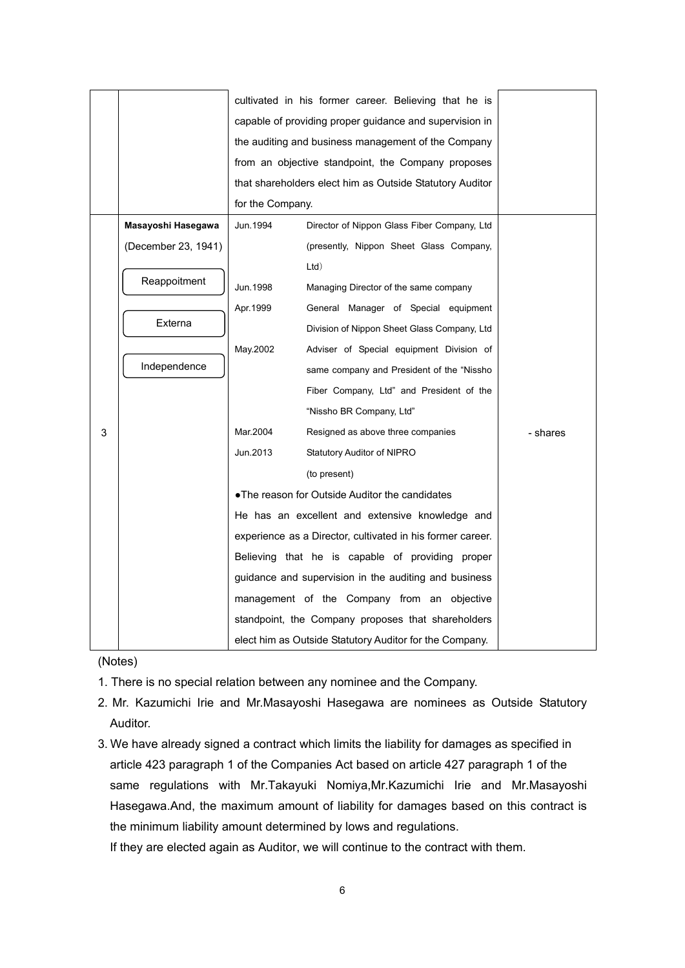|   |                                                                                                                                                                                                                       |                                                          | cultivated in his former career. Believing that he is                                                                                                             |          |  |  |
|---|-----------------------------------------------------------------------------------------------------------------------------------------------------------------------------------------------------------------------|----------------------------------------------------------|-------------------------------------------------------------------------------------------------------------------------------------------------------------------|----------|--|--|
|   | capable of providing proper guidance and supervision in                                                                                                                                                               |                                                          |                                                                                                                                                                   |          |  |  |
|   |                                                                                                                                                                                                                       | the auditing and business management of the Company      |                                                                                                                                                                   |          |  |  |
|   |                                                                                                                                                                                                                       | from an objective standpoint, the Company proposes       |                                                                                                                                                                   |          |  |  |
|   |                                                                                                                                                                                                                       |                                                          |                                                                                                                                                                   |          |  |  |
|   |                                                                                                                                                                                                                       | that shareholders elect him as Outside Statutory Auditor |                                                                                                                                                                   |          |  |  |
|   |                                                                                                                                                                                                                       | for the Company.                                         |                                                                                                                                                                   |          |  |  |
|   | Masayoshi Hasegawa                                                                                                                                                                                                    | Jun.1994                                                 | Director of Nippon Glass Fiber Company, Ltd                                                                                                                       |          |  |  |
|   | (December 23, 1941)                                                                                                                                                                                                   |                                                          | (presently, Nippon Sheet Glass Company,                                                                                                                           |          |  |  |
|   | Reappoitment<br>Externa                                                                                                                                                                                               |                                                          | Ltd)                                                                                                                                                              |          |  |  |
|   |                                                                                                                                                                                                                       | Jun.1998                                                 | Managing Director of the same company                                                                                                                             |          |  |  |
|   |                                                                                                                                                                                                                       | Apr.1999                                                 | General Manager of Special equipment                                                                                                                              |          |  |  |
|   |                                                                                                                                                                                                                       |                                                          | Division of Nippon Sheet Glass Company, Ltd                                                                                                                       |          |  |  |
|   | Independence                                                                                                                                                                                                          | May.2002                                                 | Adviser of Special equipment Division of                                                                                                                          |          |  |  |
|   |                                                                                                                                                                                                                       |                                                          | same company and President of the "Nissho"                                                                                                                        |          |  |  |
|   |                                                                                                                                                                                                                       |                                                          | Fiber Company, Ltd" and President of the                                                                                                                          |          |  |  |
|   |                                                                                                                                                                                                                       |                                                          | "Nissho BR Company, Ltd"                                                                                                                                          |          |  |  |
| 3 |                                                                                                                                                                                                                       | Mar.2004                                                 | Resigned as above three companies                                                                                                                                 | - shares |  |  |
|   |                                                                                                                                                                                                                       | Jun.2013                                                 | <b>Statutory Auditor of NIPRO</b>                                                                                                                                 |          |  |  |
|   |                                                                                                                                                                                                                       |                                                          | (to present)                                                                                                                                                      |          |  |  |
|   |                                                                                                                                                                                                                       | •The reason for Outside Auditor the candidates           |                                                                                                                                                                   |          |  |  |
|   |                                                                                                                                                                                                                       |                                                          | He has an excellent and extensive knowledge and<br>experience as a Director, cultivated in his former career.<br>Believing that he is capable of providing proper |          |  |  |
|   |                                                                                                                                                                                                                       |                                                          |                                                                                                                                                                   |          |  |  |
|   |                                                                                                                                                                                                                       |                                                          |                                                                                                                                                                   |          |  |  |
|   | guidance and supervision in the auditing and business<br>management of the Company from an objective<br>standpoint, the Company proposes that shareholders<br>elect him as Outside Statutory Auditor for the Company. |                                                          |                                                                                                                                                                   |          |  |  |
|   |                                                                                                                                                                                                                       |                                                          |                                                                                                                                                                   |          |  |  |
|   |                                                                                                                                                                                                                       |                                                          |                                                                                                                                                                   |          |  |  |
|   |                                                                                                                                                                                                                       |                                                          |                                                                                                                                                                   |          |  |  |

(Notes)

- 1. There is no special relation between any nominee and the Company.
- 2. Mr. Kazumichi Irie and Mr.Masayoshi Hasegawa are nominees as Outside Statutory Auditor.
- 3. We have already signed a contract which limits the liability for damages as specified in article 423 paragraph 1 of the Companies Act based on article 427 paragraph 1 of the same regulations with Mr.Takayuki Nomiya,Mr.Kazumichi Irie and Mr.Masayoshi Hasegawa.And, the maximum amount of liability for damages based on this contract is the minimum liability amount determined by lows and regulations.

If they are elected again as Auditor, we will continue to the contract with them.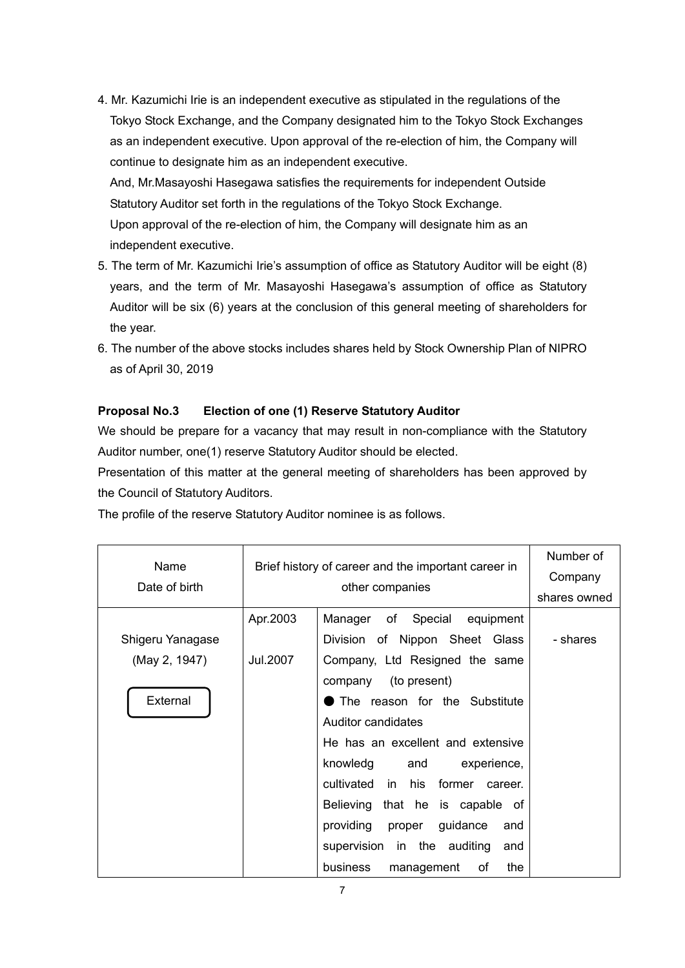4. Mr. Kazumichi Irie is an independent executive as stipulated in the regulations of the Tokyo Stock Exchange, and the Company designated him to the Tokyo Stock Exchanges as an independent executive. Upon approval of the re-election of him, the Company will continue to designate him as an independent executive.

And, Mr.Masayoshi Hasegawa satisfies the requirements for independent Outside Statutory Auditor set forth in the regulations of the Tokyo Stock Exchange. Upon approval of the re-election of him, the Company will designate him as an independent executive.

- 5. The term of Mr. Kazumichi Irie's assumption of office as Statutory Auditor will be eight (8) years, and the term of Mr. Masayoshi Hasegawa's assumption of office as Statutory Auditor will be six (6) years at the conclusion of this general meeting of shareholders for the year.
- 6. The number of the above stocks includes shares held by Stock Ownership Plan of NIPRO as of April 30, 2019

#### **Proposal No.3 Election of one (1) Reserve Statutory Auditor**

We should be prepare for a vacancy that may result in non-compliance with the Statutory Auditor number, one(1) reserve Statutory Auditor should be elected.

Presentation of this matter at the general meeting of shareholders has been approved by the Council of Statutory Auditors.

| Name             | Brief history of career and the important career in |                                        | Number of    |
|------------------|-----------------------------------------------------|----------------------------------------|--------------|
|                  |                                                     | Company                                |              |
| Date of birth    | other companies                                     |                                        | shares owned |
|                  | Apr.2003                                            | Manager of Special equipment           |              |
| Shigeru Yanagase |                                                     | Division of Nippon Sheet Glass         | - shares     |
| (May 2, 1947)    | Jul.2007                                            | Company, Ltd Resigned the same         |              |
|                  |                                                     | company (to present)                   |              |
| External         |                                                     | The reason for the Substitute          |              |
|                  |                                                     | Auditor candidates                     |              |
|                  |                                                     | He has an excellent and extensive      |              |
|                  |                                                     | knowledg<br>and<br>experience,         |              |
|                  |                                                     | cultivated in his<br>former<br>career. |              |
|                  |                                                     | Believing that he is capable of        |              |
|                  |                                                     | providing<br>guidance<br>proper<br>and |              |
|                  |                                                     | supervision in the auditing<br>and     |              |
|                  |                                                     | the<br>business<br>оf<br>management    |              |

The profile of the reserve Statutory Auditor nominee is as follows.